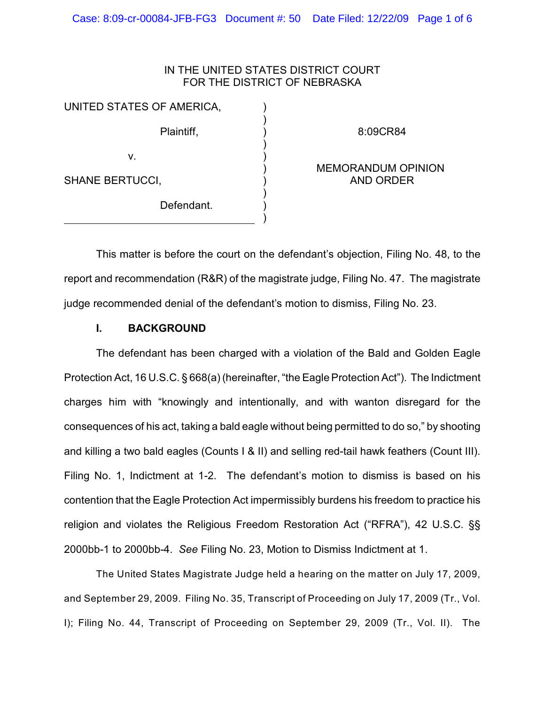### IN THE UNITED STATES DISTRICT COURT FOR THE DISTRICT OF NEBRASKA

) ) ) ) ) ) ) ) ) )

UNITED STATES OF AMERICA, Plaintiff, v.

8:09CR84

# SHANE BERTUCCI,

Defendant.

### MEMORANDUM OPINION AND ORDER

This matter is before the court on the defendant's objection, Filing No. 48, to the report and recommendation (R&R) of the magistrate judge, Filing No. 47. The magistrate judge recommended denial of the defendant's motion to dismiss, Filing No. 23.

## **I. BACKGROUND**

The defendant has been charged with a violation of the Bald and Golden Eagle Protection Act, 16 U.S.C. § 668(a) (hereinafter, "the Eagle Protection Act"). The Indictment charges him with "knowingly and intentionally, and with wanton disregard for the consequences of his act, taking a bald eagle without being permitted to do so," by shooting and killing a two bald eagles (Counts I & II) and selling red-tail hawk feathers (Count III). Filing No. 1, Indictment at 1-2. The defendant's motion to dismiss is based on his contention that the Eagle Protection Act impermissibly burdens his freedom to practice his religion and violates the Religious Freedom Restoration Act ("RFRA"), 42 U.S.C. §§ 2000bb-1 to 2000bb-4. *See* Filing No. 23, Motion to Dismiss Indictment at 1.

The United States Magistrate Judge held a hearing on the matter on July 17, 2009, and September 29, 2009. Filing No. 35, Transcript of Proceeding on July 17, 2009 (Tr., Vol. I); Filing No. 44, Transcript of Proceeding on September 29, 2009 (Tr., Vol. II). The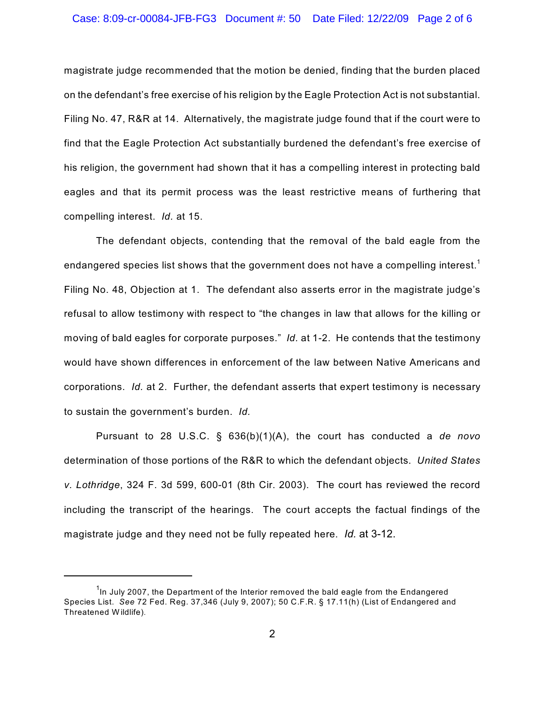#### Case: 8:09-cr-00084-JFB-FG3 Document #: 50 Date Filed: 12/22/09 Page 2 of 6

magistrate judge recommended that the motion be denied, finding that the burden placed on the defendant's free exercise of his religion by the Eagle Protection Act is not substantial. Filing No. 47, R&R at 14. Alternatively, the magistrate judge found that if the court were to find that the Eagle Protection Act substantially burdened the defendant's free exercise of his religion, the government had shown that it has a compelling interest in protecting bald eagles and that its permit process was the least restrictive means of furthering that compelling interest. *Id.* at 15.

The defendant objects, contending that the removal of the bald eagle from the endangered species list shows that the government does not have a compelling interest.<sup>1</sup> Filing No. 48, Objection at 1. The defendant also asserts error in the magistrate judge's refusal to allow testimony with respect to "the changes in law that allows for the killing or moving of bald eagles for corporate purposes." *Id.* at 1-2. He contends that the testimony would have shown differences in enforcement of the law between Native Americans and corporations. *Id.* at 2. Further, the defendant asserts that expert testimony is necessary to sustain the government's burden. *Id.*

Pursuant to 28 U.S.C. § 636(b)(1)(A), the court has conducted a *de novo* determination of those portions of the R&R to which the defendant objects. *United States v. Lothridge*, 324 F. 3d 599, 600-01 (8th Cir. 2003). The court has reviewed the record including the transcript of the hearings. The court accepts the factual findings of the magistrate judge and they need not be fully repeated here. *Id.* at 3-12.

 $1$ <sub>ln</sub> July 2007, the Department of the Interior removed the bald eagle from the Endangered Species List. *See* 72 Fed. Reg. 37,346 (July 9, 2007); 50 C.F.R. § 17.11(h) (List of Endangered and Threatened W ildlife).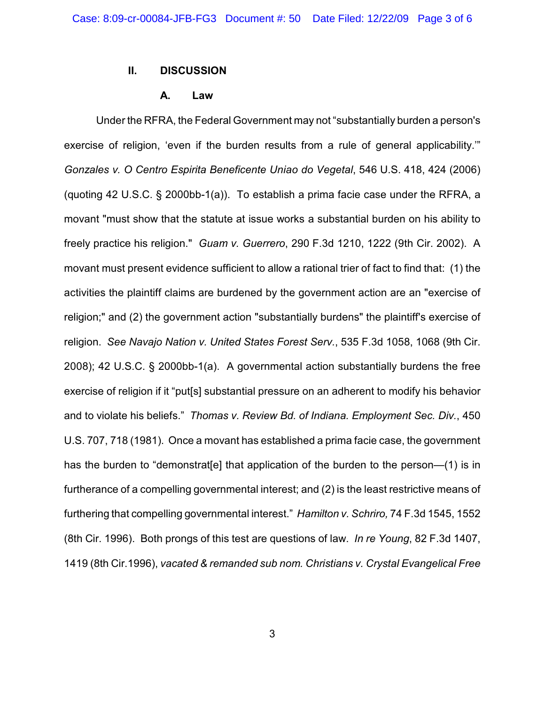### **II. DISCUSSION**

#### **A. Law**

Under the RFRA, the Federal Government may not "substantially burden a person's exercise of religion, 'even if the burden results from a rule of general applicability.'" *Gonzales v. O Centro Espirita Beneficente Uniao do Vegetal*, 546 U.S. 418, 424 (2006) (quoting 42 U.S.C. § 2000bb-1(a)). To establish a prima facie case under the RFRA, a movant "must show that the statute at issue works a substantial burden on his ability to freely practice his religion." *Guam v. Guerrero*, 290 F.3d 1210, 1222 (9th Cir. 2002). A movant must present evidence sufficient to allow a rational trier of fact to find that: (1) the activities the plaintiff claims are burdened by the government action are an "exercise of religion;" and (2) the government action "substantially burdens" the plaintiff's exercise of religion. *See Navajo Nation v. United States Forest Serv.*, 535 F.3d 1058, 1068 (9th Cir. 2008); 42 U.S.C. § 2000bb-1(a). A governmental action substantially burdens the free exercise of religion if it "put[s] substantial pressure on an adherent to modify his behavior and to violate his beliefs." *Thomas v. Review Bd. of Indiana. Employment Sec. Div.*, 450 U.S. 707, 718 (1981). Once a movant has established a prima facie case, the government has the burden to "demonstrat [e] that application of the burden to the person—(1) is in furtherance of a compelling governmental interest; and (2) is the least restrictive means of furthering that compelling governmental interest." *Hamilton v. Schriro,* 74 F.3d 1545, 1552 (8th Cir. 1996). Both prongs of this test are questions of law. *In re Young*, 82 F.3d 1407, 1419 (8th Cir.1996), *vacated & remanded sub nom. Christians v. Crystal Evangelical Free*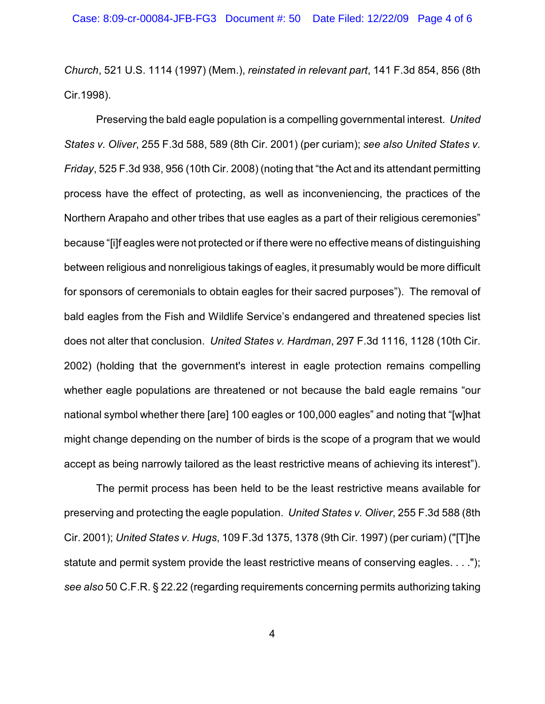*Church*, 521 U.S. 1114 (1997) (Mem.), *reinstated in relevant part*, 141 F.3d 854, 856 (8th Cir.1998).

Preserving the bald eagle population is a compelling governmental interest. *United States v. Oliver*, 255 F.3d 588, 589 (8th Cir. 2001) (per curiam); *see also United States v. Friday*, 525 F.3d 938, 956 (10th Cir. 2008) (noting that "the Act and its attendant permitting process have the effect of protecting, as well as inconveniencing, the practices of the Northern Arapaho and other tribes that use eagles as a part of their religious ceremonies" because "[i]f eagles were not protected or if there were no effective means of distinguishing between religious and nonreligious takings of eagles, it presumably would be more difficult for sponsors of ceremonials to obtain eagles for their sacred purposes"). The removal of bald eagles from the Fish and Wildlife Service's endangered and threatened species list does not alter that conclusion. *United States v. Hardman*, 297 F.3d 1116, 1128 (10th Cir. 2002) (holding that the government's interest in eagle protection remains compelling whether eagle populations are threatened or not because the bald eagle remains "our national symbol whether there [are] 100 eagles or 100,000 eagles" and noting that "[w]hat might change depending on the number of birds is the scope of a program that we would accept as being narrowly tailored as the least restrictive means of achieving its interest").

The permit process has been held to be the least restrictive means available for preserving and protecting the eagle population. *United States v. Oliver*, 255 F.3d 588 (8th Cir. 2001); *United States v. Hugs*, 109 F.3d 1375, 1378 (9th Cir. 1997) (per curiam) ("[T]he statute and permit system provide the least restrictive means of conserving eagles. . . ."); *see also* 50 C.F.R. § 22.22 (regarding requirements concerning permits authorizing taking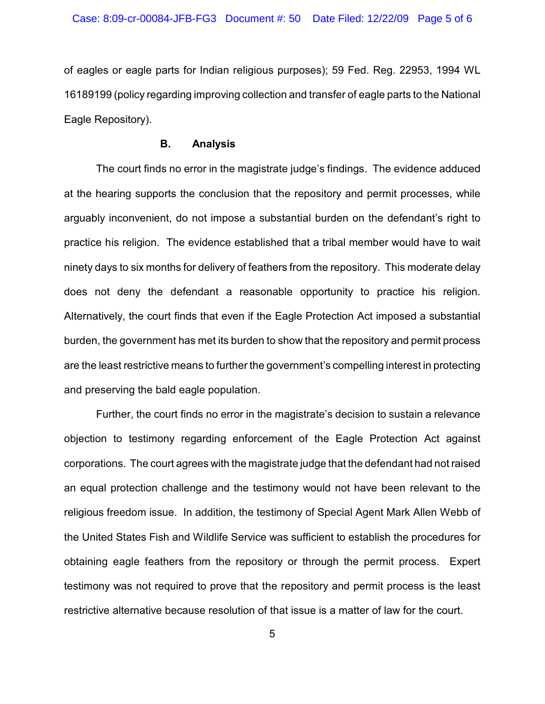of eagles or eagle parts for Indian religious purposes); 59 Fed. Reg. 22953, 1994 WL 16189199 (policy regarding improving collection and transfer of eagle parts to the National Eagle Repository).

#### **B. Analysis**

The court finds no error in the magistrate judge's findings. The evidence adduced at the hearing supports the conclusion that the repository and permit processes, while arguably inconvenient, do not impose a substantial burden on the defendant's right to practice his religion. The evidence established that a tribal member would have to wait ninety days to six months for delivery of feathers from the repository. This moderate delay does not deny the defendant a reasonable opportunity to practice his religion. Alternatively, the court finds that even if the Eagle Protection Act imposed a substantial burden, the government has met its burden to show that the repository and permit process are the least restrictive means to further the government's compelling interest in protecting and preserving the bald eagle population.

Further, the court finds no error in the magistrate's decision to sustain a relevance objection to testimony regarding enforcement of the Eagle Protection Act against corporations. The court agrees with the magistrate judge that the defendant had not raised an equal protection challenge and the testimony would not have been relevant to the religious freedom issue. In addition, the testimony of Special Agent Mark Allen Webb of the United States Fish and Wildlife Service was sufficient to establish the procedures for obtaining eagle feathers from the repository or through the permit process. Expert testimony was not required to prove that the repository and permit process is the least restrictive alternative because resolution of that issue is a matter of law for the court.

5